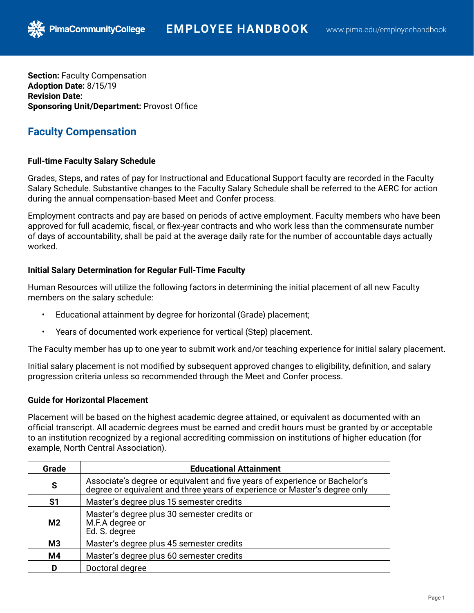**Section:** Faculty Compensation **Adoption Date:** 8/15/19 **Revision Date: Sponsoring Unit/Department:** Provost Office

**PimaCommunityCollege** 

# **Faculty Compensation**

## **Full-time Faculty Salary Schedule**

Grades, Steps, and rates of pay for Instructional and Educational Support faculty are recorded in the Faculty Salary Schedule. Substantive changes to the Faculty Salary Schedule shall be referred to the AERC for action during the annual compensation-based Meet and Confer process.

Employment contracts and pay are based on periods of active employment. Faculty members who have been approved for full academic, fiscal, or flex-year contracts and who work less than the commensurate number of days of accountability, shall be paid at the average daily rate for the number of accountable days actually worked.

## **Initial Salary Determination for Regular Full-Time Faculty**

Human Resources will utilize the following factors in determining the initial placement of all new Faculty members on the salary schedule:

- Educational attainment by degree for horizontal (Grade) placement;
- Years of documented work experience for vertical (Step) placement.

The Faculty member has up to one year to submit work and/or teaching experience for initial salary placement.

Initial salary placement is not modified by subsequent approved changes to eligibility, definition, and salary progression criteria unless so recommended through the Meet and Confer process.

## **Guide for Horizontal Placement**

Placement will be based on the highest academic degree attained, or equivalent as documented with an official transcript. All academic degrees must be earned and credit hours must be granted by or acceptable to an institution recognized by a regional accrediting commission on institutions of higher education (for example, North Central Association).

| Grade          | <b>Educational Attainment</b>                                                                                                                          |
|----------------|--------------------------------------------------------------------------------------------------------------------------------------------------------|
| S              | Associate's degree or equivalent and five years of experience or Bachelor's degree or equivalent and three years of experience or Master's degree only |
| S1             | Master's degree plus 15 semester credits                                                                                                               |
| M <sub>2</sub> | Master's degree plus 30 semester credits or<br>M.F.A degree or<br>Ed. S. degree                                                                        |
| M <sub>3</sub> | Master's degree plus 45 semester credits                                                                                                               |
| M4             | Master's degree plus 60 semester credits                                                                                                               |
| D              | Doctoral degree                                                                                                                                        |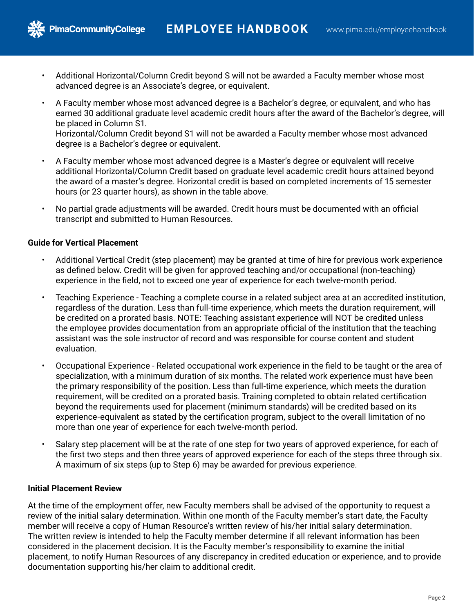- Additional Horizontal/Column Credit beyond S will not be awarded a Faculty member whose most advanced degree is an Associate's degree, or equivalent.
- A Faculty member whose most advanced degree is a Bachelor's degree, or equivalent, and who has earned 30 additional graduate level academic credit hours after the award of the Bachelor's degree, will be placed in Column S1. Horizontal/Column Credit beyond S1 will not be awarded a Faculty member whose most advanced degree is a Bachelor's degree or equivalent.
- A Faculty member whose most advanced degree is a Master's degree or equivalent will receive additional Horizontal/Column Credit based on graduate level academic credit hours attained beyond the award of a master's degree. Horizontal credit is based on completed increments of 15 semester hours (or 23 quarter hours), as shown in the table above.
- No partial grade adjustments will be awarded. Credit hours must be documented with an official transcript and submitted to Human Resources.

## **Guide for Vertical Placement**

**PimaCommunityCollege** 

- Additional Vertical Credit (step placement) may be granted at time of hire for previous work experience as defined below. Credit will be given for approved teaching and/or occupational (non-teaching) experience in the field, not to exceed one year of experience for each twelve-month period.
- Teaching Experience Teaching a complete course in a related subject area at an accredited institution, regardless of the duration. Less than full-time experience, which meets the duration requirement, will be credited on a prorated basis. NOTE: Teaching assistant experience will NOT be credited unless the employee provides documentation from an appropriate official of the institution that the teaching assistant was the sole instructor of record and was responsible for course content and student evaluation.
- Occupational Experience Related occupational work experience in the field to be taught or the area of specialization, with a minimum duration of six months. The related work experience must have been the primary responsibility of the position. Less than full-time experience, which meets the duration requirement, will be credited on a prorated basis. Training completed to obtain related certification beyond the requirements used for placement (minimum standards) will be credited based on its experience-equivalent as stated by the certification program, subject to the overall limitation of no more than one year of experience for each twelve-month period.
- Salary step placement will be at the rate of one step for two years of approved experience, for each of the first two steps and then three years of approved experience for each of the steps three through six. A maximum of six steps (up to Step 6) may be awarded for previous experience.

## **Initial Placement Review**

At the time of the employment offer, new Faculty members shall be advised of the opportunity to request a review of the initial salary determination. Within one month of the Faculty member's start date, the Faculty member will receive a copy of Human Resource's written review of his/her initial salary determination. The written review is intended to help the Faculty member determine if all relevant information has been considered in the placement decision. It is the Faculty member's responsibility to examine the initial placement, to notify Human Resources of any discrepancy in credited education or experience, and to provide documentation supporting his/her claim to additional credit.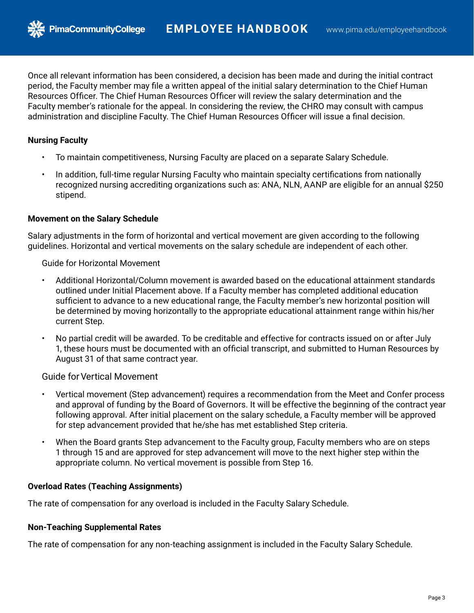Once all relevant information has been considered, a decision has been made and during the initial contract period, the Faculty member may file a written appeal of the initial salary determination to the Chief Human Resources Officer. The Chief Human Resources Officer will review the salary determination and the Faculty member's rationale for the appeal. In considering the review, the CHRO may consult with campus administration and discipline Faculty. The Chief Human Resources Officer will issue a final decision.

### **Nursing Faculty**

- To maintain competitiveness, Nursing Faculty are placed on a separate Salary Schedule.
- In addition, full-time regular Nursing Faculty who maintain specialty certifications from nationally recognized nursing accrediting organizations such as: ANA, NLN, AANP are eligible for an annual \$250 stipend.

#### **Movement on the Salary Schedule**

**PimaCommunityCollege** 

Salary adjustments in the form of horizontal and vertical movement are given according to the following guidelines. Horizontal and vertical movements on the salary schedule are independent of each other.

Guide for Horizontal Movement

- Additional Horizontal/Column movement is awarded based on the educational attainment standards outlined under Initial Placement above. If a Faculty member has completed additional education sufficient to advance to a new educational range, the Faculty member's new horizontal position will be determined by moving horizontally to the appropriate educational attainment range within his/her current Step.
- No partial credit will be awarded. To be creditable and effective for contracts issued on or after July 1, these hours must be documented with an official transcript, and submitted to Human Resources by August 31 of that same contract year.

Guide forVertical Movement

- Vertical movement (Step advancement) requires a recommendation from the Meet and Confer process and approval of funding by the Board of Governors. It will be effective the beginning of the contract year following approval. After initial placement on the salary schedule, a Faculty member will be approved for step advancement provided that he/she has met established Step criteria.
- When the Board grants Step advancement to the Faculty group, Faculty members who are on steps 1 through 15 and are approved for step advancement will move to the next higher step within the appropriate column. No vertical movement is possible from Step 16.

#### **Overload Rates (Teaching Assignments)**

The rate of compensation for any overload is included in the Faculty Salary Schedule.

#### **Non-Teaching Supplemental Rates**

The rate of compensation for any non-teaching assignment is included in the Faculty Salary Schedule.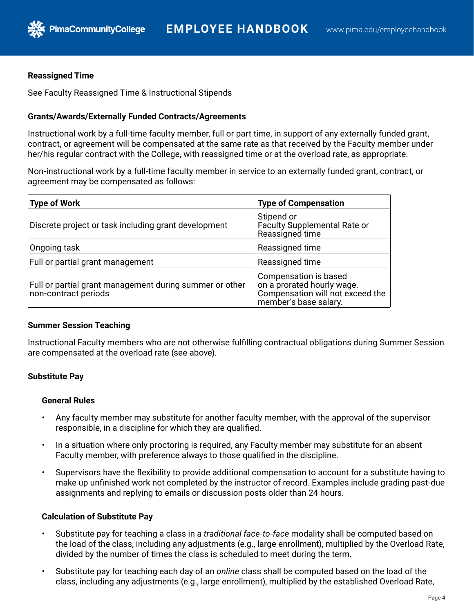#### **Reassigned Time**

See Faculty Reassigned Time & Instructional Stipends

#### **Grants/Awards/Externally Funded Contracts/Agreements**

Instructional work by a full-time faculty member, full or part time, in support of any externally funded grant, contract, or agreement will be compensated at the same rate as that received by the Faculty member under her/his regular contract with the College, with reassigned time or at the overload rate, as appropriate.

Non-instructional work by a full-time faculty member in service to an externally funded grant, contract, or agreement may be compensated as follows:

| <b>Type of Work</b>                                                             | <b>Type of Compensation</b>                                                                                      |
|---------------------------------------------------------------------------------|------------------------------------------------------------------------------------------------------------------|
| Discrete project or task including grant development                            | Stipend or<br>Faculty Supplemental Rate or<br>Reassigned time                                                    |
| Ongoing task                                                                    | Reassigned time                                                                                                  |
| Full or partial grant management                                                | Reassigned time                                                                                                  |
| Full or partial grant management during summer or other<br>non-contract periods | Compensation is based<br>on a prorated hourly wage.<br>Compensation will not exceed the<br>member's base salary. |

#### **Summer Session Teaching**

Instructional Faculty members who are not otherwise fulfilling contractual obligations during Summer Session are compensated at the overload rate (see above).

#### **Substitute Pay**

#### **General Rules**

- Any faculty member may substitute for another faculty member, with the approval of the supervisor responsible, in a discipline for which they are qualified.
- In a situation where only proctoring is required, any Faculty member may substitute for an absent Faculty member, with preference always to those qualified in the discipline.
- Supervisors have the flexibility to provide additional compensation to account for a substitute having to make up unfinished work not completed by the instructor of record. Examples include grading past-due assignments and replying to emails or discussion posts older than 24 hours.

#### **Calculation of Substitute Pay**

- Substitute pay for teaching a class in a *traditional face-to-face* modality shall be computed based on the load of the class, including any adjustments (e.g., large enrollment), multiplied by the Overload Rate, divided by the number of times the class is scheduled to meet during the term.
- Substitute pay for teaching each day of an *online* class shall be computed based on the load of the class, including any adjustments (e.g., large enrollment), multiplied by the established Overload Rate,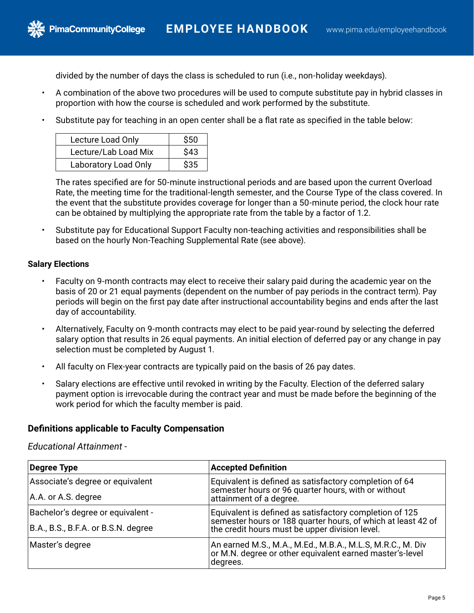divided by the number of days the class is scheduled to run (i.e., non-holiday weekdays).

- A combination of the above two procedures will be used to compute substitute pay in hybrid classes in proportion with how the course is scheduled and work performed by the substitute.
- Substitute pay for teaching in an open center shall be a flat rate as specified in the table below:

| Lecture Load Only           | \$50 |
|-----------------------------|------|
| Lecture/Lab Load Mix        | \$43 |
| <b>Laboratory Load Only</b> | \$35 |

The rates specified are for 50-minute instructional periods and are based upon the current Overload Rate, the meeting time for the traditional-length semester, and the Course Type of the class covered. In the event that the substitute provides coverage for longer than a 50-minute period, the clock hour rate can be obtained by multiplying the appropriate rate from the table by a factor of 1.2.

• Substitute pay for Educational Support Faculty non-teaching activities and responsibilities shall be based on the hourly Non-Teaching Supplemental Rate (see above).

#### **Salary Elections**

- Faculty on 9-month contracts may elect to receive their salary paid during the academic year on the basis of 20 or 21 equal payments (dependent on the number of pay periods in the contract term). Pay periods will begin on the first pay date after instructional accountability begins and ends after the last day of accountability.
- Alternatively, Faculty on 9-month contracts may elect to be paid year-round by selecting the deferred salary option that results in 26 equal payments. An initial election of deferred pay or any change in pay selection must be completed by August 1.
- All faculty on Flex-year contracts are typically paid on the basis of 26 pay dates.
- Salary elections are effective until revoked in writing by the Faculty. Election of the deferred salary payment option is irrevocable during the contract year and must be made before the beginning of the work period for which the faculty member is paid.

#### **Definitions applicable to Faculty Compensation**

#### *Educational Attainment -*

| Degree Type                         | <b>Accepted Definition</b>                                                                                                         |  |
|-------------------------------------|------------------------------------------------------------------------------------------------------------------------------------|--|
| Associate's degree or equivalent    | Equivalent is defined as satisfactory completion of 64                                                                             |  |
| A.A. or A.S. degree                 | semester hours or 96 quarter hours, with or without<br>attainment of a degree.                                                     |  |
| Bachelor's degree or equivalent -   | Equivalent is defined as satisfactory completion of 125<br>semester hours or 188 quarter hours, of which at least 42 of            |  |
| B.A., B.S., B.F.A. or B.S.N. degree | the credit hours must be upper division level.                                                                                     |  |
| Master's degree                     | An earned M.S., M.A., M.Ed., M.B.A., M.L.S, M.R.C., M. Div<br>or M.N. degree or other equivalent earned master's-level<br>degrees. |  |